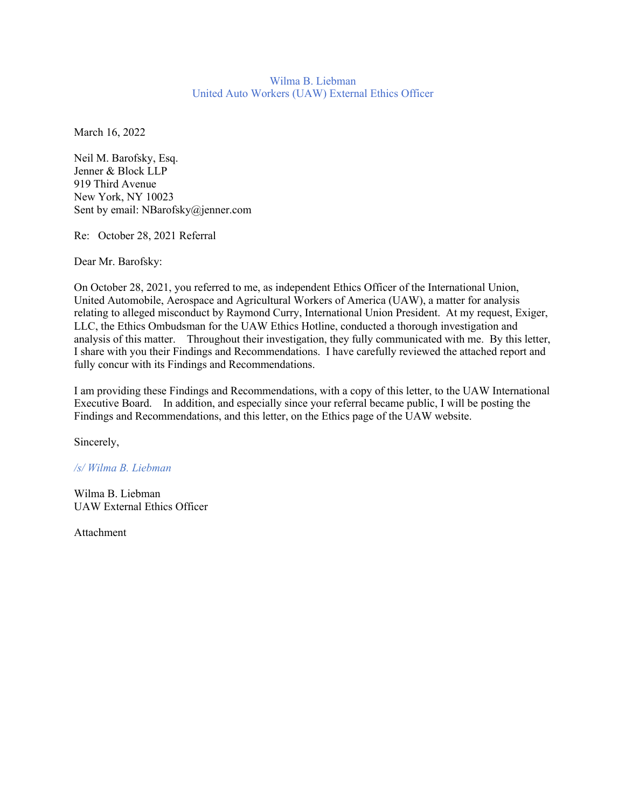#### Wilma B. Liebman United Auto Workers (UAW) External Ethics Officer

March 16, 2022

Neil M. Barofsky, Esq. Jenner & Block LLP 919 Third Avenue New York, NY 10023 Sent by email: NBarofsky@jenner.com

Re: October 28, 2021 Referral

Dear Mr. Barofsky:

On October 28, 2021, you referred to me, as independent Ethics Officer of the International Union, United Automobile, Aerospace and Agricultural Workers of America (UAW), a matter for analysis relating to alleged misconduct by Raymond Curry, International Union President. At my request, Exiger, LLC, the Ethics Ombudsman for the UAW Ethics Hotline, conducted a thorough investigation and analysis of this matter. Throughout their investigation, they fully communicated with me. By this letter, I share with you their Findings and Recommendations. I have carefully reviewed the attached report and fully concur with its Findings and Recommendations.

I am providing these Findings and Recommendations, with a copy of this letter, to the UAW International Executive Board. In addition, and especially since your referral became public, I will be posting the Findings and Recommendations, and this letter, on the Ethics page of the UAW website.

Sincerely,

*/s/ Wilma B. Liebman*

Wilma B. Liebman UAW External Ethics Officer

Attachment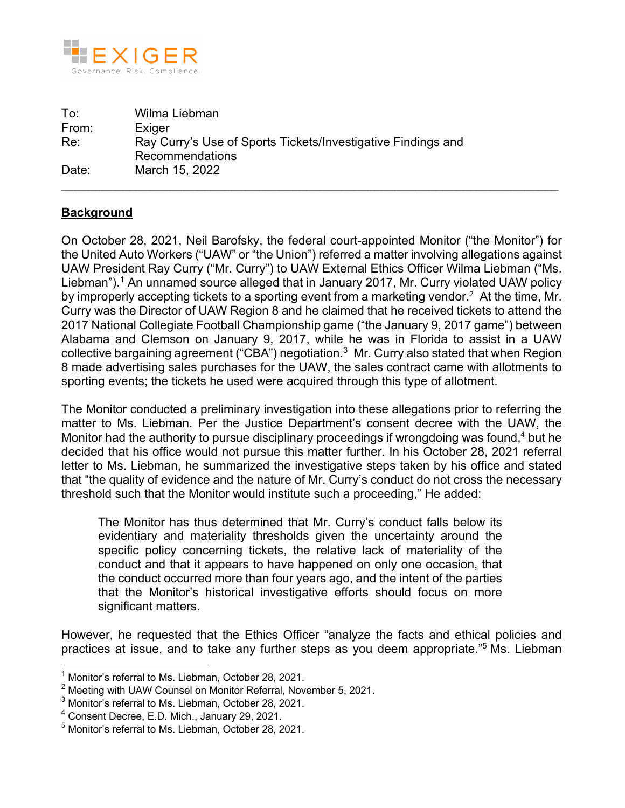

To: Wilma Liebman From: Exiger Re: Ray Curry's Use of Sports Tickets/Investigative Findings and Recommendations Date: March 15, 2022  $\_$  , and the set of the set of the set of the set of the set of the set of the set of the set of the set of the set of the set of the set of the set of the set of the set of the set of the set of the set of the set of th

# **Background**

On October 28, 2021, Neil Barofsky, the federal court-appointed Monitor ("the Monitor") for the United Auto Workers ("UAW" or "the Union") referred a matter involving allegations against UAW President Ray Curry ("Mr. Curry") to UAW External Ethics Officer Wilma Liebman ("Ms. Liebman"). <sup>1</sup> An unnamed source alleged that in January 2017, Mr. Curry violated UAW policy by improperly accepting tickets to a sporting event from a marketing vendor.<sup>2</sup> At the time, Mr. Curry was the Director of UAW Region 8 and he claimed that he received tickets to attend the 2017 National Collegiate Football Championship game ("the January 9, 2017 game") between Alabama and Clemson on January 9, 2017, while he was in Florida to assist in a UAW collective bargaining agreement ("CBA") negotiation.<sup>3</sup> Mr. Curry also stated that when Region 8 made advertising sales purchases for the UAW, the sales contract came with allotments to sporting events; the tickets he used were acquired through this type of allotment.

The Monitor conducted a preliminary investigation into these allegations prior to referring the matter to Ms. Liebman. Per the Justice Department's consent decree with the UAW, the Monitor had the authority to pursue disciplinary proceedings if wrongdoing was found,<sup>4</sup> but he decided that his office would not pursue this matter further. In his October 28, 2021 referral letter to Ms. Liebman, he summarized the investigative steps taken by his office and stated that "the quality of evidence and the nature of Mr. Curry's conduct do not cross the necessary threshold such that the Monitor would institute such a proceeding," He added:

The Monitor has thus determined that Mr. Curry's conduct falls below its evidentiary and materiality thresholds given the uncertainty around the specific policy concerning tickets, the relative lack of materiality of the conduct and that it appears to have happened on only one occasion, that the conduct occurred more than four years ago, and the intent of the parties that the Monitor's historical investigative efforts should focus on more significant matters.

However, he requested that the Ethics Officer "analyze the facts and ethical policies and practices at issue, and to take any further steps as you deem appropriate."5 Ms. Liebman

 $1$  Monitor's referral to Ms. Liebman, October 28, 2021.

<sup>2</sup> Meeting with UAW Counsel on Monitor Referral, November 5, 2021.

 $3$  Monitor's referral to Ms. Liebman, October 28, 2021.

<sup>4</sup> Consent Decree, E.D. Mich., January 29, 2021.

<sup>5</sup> Monitor's referral to Ms. Liebman, October 28, 2021.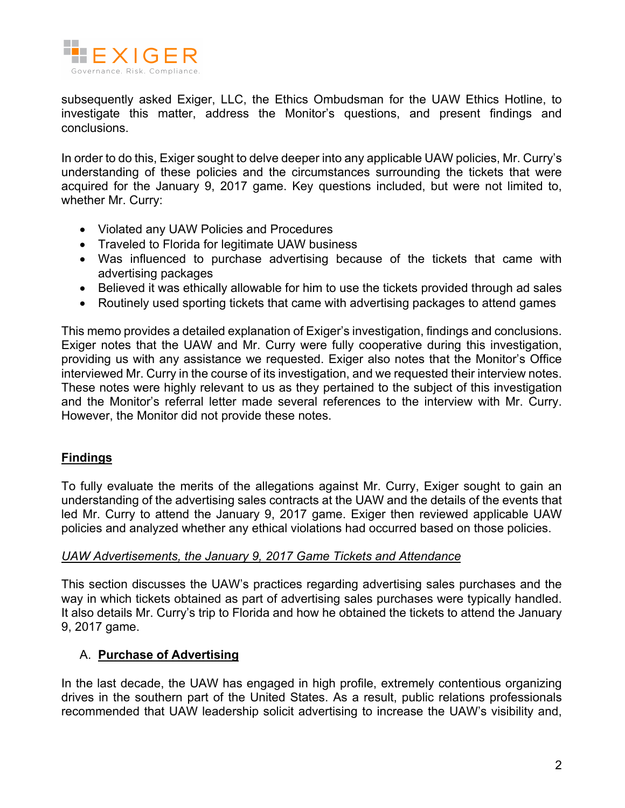

subsequently asked Exiger, LLC, the Ethics Ombudsman for the UAW Ethics Hotline, to investigate this matter, address the Monitor's questions, and present findings and conclusions.

In order to do this, Exiger sought to delve deeper into any applicable UAW policies, Mr. Curry's understanding of these policies and the circumstances surrounding the tickets that were acquired for the January 9, 2017 game. Key questions included, but were not limited to, whether Mr. Curry:

- Violated any UAW Policies and Procedures
- Traveled to Florida for legitimate UAW business
- Was influenced to purchase advertising because of the tickets that came with advertising packages
- Believed it was ethically allowable for him to use the tickets provided through ad sales
- Routinely used sporting tickets that came with advertising packages to attend games

This memo provides a detailed explanation of Exiger's investigation, findings and conclusions. Exiger notes that the UAW and Mr. Curry were fully cooperative during this investigation, providing us with any assistance we requested. Exiger also notes that the Monitor's Office interviewed Mr. Curry in the course of its investigation, and we requested their interview notes. These notes were highly relevant to us as they pertained to the subject of this investigation and the Monitor's referral letter made several references to the interview with Mr. Curry. However, the Monitor did not provide these notes.

# **Findings**

To fully evaluate the merits of the allegations against Mr. Curry, Exiger sought to gain an understanding of the advertising sales contracts at the UAW and the details of the events that led Mr. Curry to attend the January 9, 2017 game. Exiger then reviewed applicable UAW policies and analyzed whether any ethical violations had occurred based on those policies.

### *UAW Advertisements, the January 9, 2017 Game Tickets and Attendance*

This section discusses the UAW's practices regarding advertising sales purchases and the way in which tickets obtained as part of advertising sales purchases were typically handled. It also details Mr. Curry's trip to Florida and how he obtained the tickets to attend the January 9, 2017 game.

# A. **Purchase of Advertising**

In the last decade, the UAW has engaged in high profile, extremely contentious organizing drives in the southern part of the United States. As a result, public relations professionals recommended that UAW leadership solicit advertising to increase the UAW's visibility and,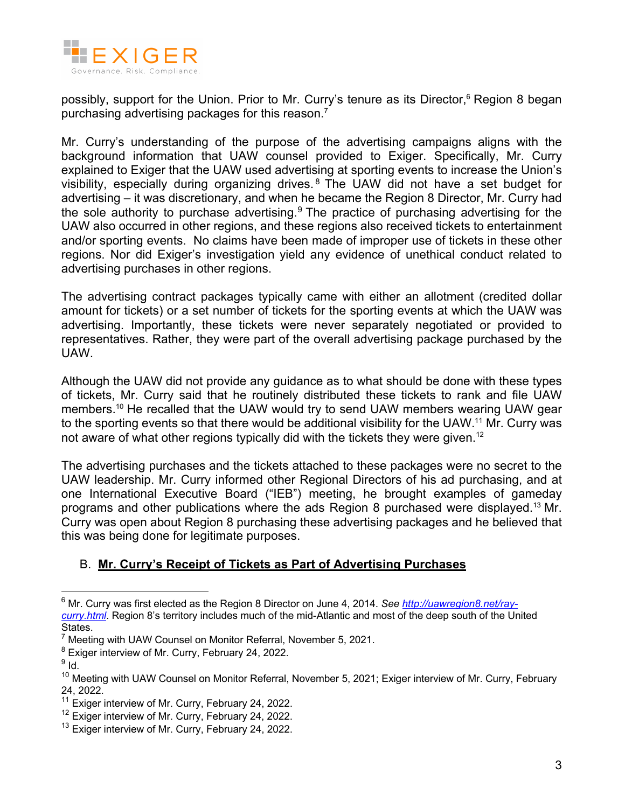

possibly, support for the Union. Prior to Mr. Curry's tenure as its Director,<sup>6</sup> Region 8 began purchasing advertising packages for this reason.<sup>7</sup>

Mr. Curry's understanding of the purpose of the advertising campaigns aligns with the background information that UAW counsel provided to Exiger. Specifically, Mr. Curry explained to Exiger that the UAW used advertising at sporting events to increase the Union's visibility, especially during organizing drives. <sup>8</sup> The UAW did not have a set budget for advertising – it was discretionary, and when he became the Region 8 Director, Mr. Curry had the sole authority to purchase advertising.<sup>9</sup> The practice of purchasing advertising for the UAW also occurred in other regions, and these regions also received tickets to entertainment and/or sporting events. No claims have been made of improper use of tickets in these other regions. Nor did Exiger's investigation yield any evidence of unethical conduct related to advertising purchases in other regions.

The advertising contract packages typically came with either an allotment (credited dollar amount for tickets) or a set number of tickets for the sporting events at which the UAW was advertising. Importantly, these tickets were never separately negotiated or provided to representatives. Rather, they were part of the overall advertising package purchased by the UAW.

Although the UAW did not provide any guidance as to what should be done with these types of tickets, Mr. Curry said that he routinely distributed these tickets to rank and file UAW members.<sup>10</sup> He recalled that the UAW would try to send UAW members wearing UAW gear to the sporting events so that there would be additional visibility for the UAW.<sup>11</sup> Mr. Curry was not aware of what other regions typically did with the tickets they were given.<sup>12</sup>

The advertising purchases and the tickets attached to these packages were no secret to the UAW leadership. Mr. Curry informed other Regional Directors of his ad purchasing, and at one International Executive Board ("IEB") meeting, he brought examples of gameday programs and other publications where the ads Region 8 purchased were displayed.<sup>13</sup> Mr. Curry was open about Region 8 purchasing these advertising packages and he believed that this was being done for legitimate purposes.

### B. **Mr. Curry's Receipt of Tickets as Part of Advertising Purchases**

<sup>6</sup> Mr. Curry was first elected as the Region 8 Director on June 4, 2014. *See http://uawregion8.net/raycurry.html*. Region 8's territory includes much of the mid-Atlantic and most of the deep south of the United States.

 $7$  Meeting with UAW Counsel on Monitor Referral, November 5, 2021.

<sup>&</sup>lt;sup>8</sup> Exiger interview of Mr. Curry, February 24, 2022.

 $9$  Id.

<sup>&</sup>lt;sup>10</sup> Meeting with UAW Counsel on Monitor Referral, November 5, 2021; Exiger interview of Mr. Curry, February 24, 2022.

<sup>&</sup>lt;sup>11</sup> Exiger interview of Mr. Curry, February 24, 2022.

 $12$  Exiger interview of Mr. Curry, February 24, 2022.

<sup>&</sup>lt;sup>13</sup> Exiger interview of Mr. Curry, February 24, 2022.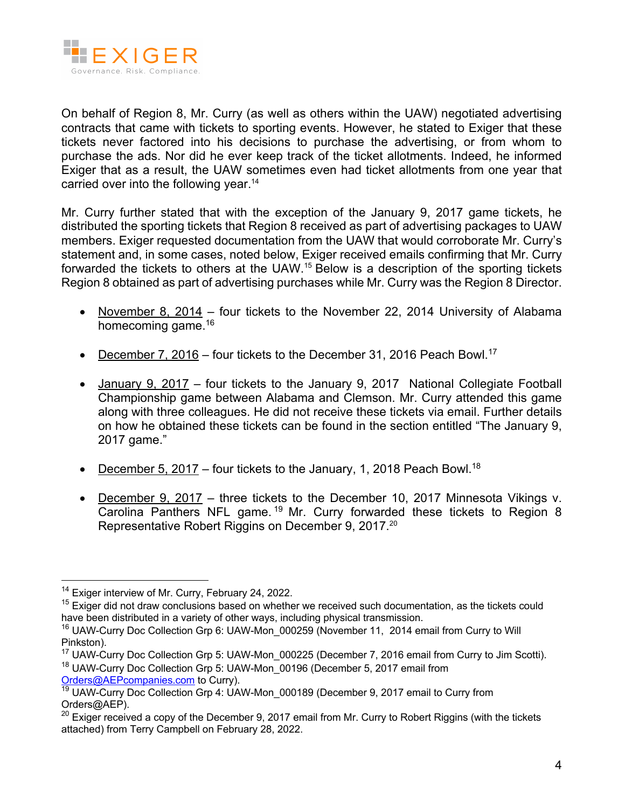

On behalf of Region 8, Mr. Curry (as well as others within the UAW) negotiated advertising contracts that came with tickets to sporting events. However, he stated to Exiger that these tickets never factored into his decisions to purchase the advertising, or from whom to purchase the ads. Nor did he ever keep track of the ticket allotments. Indeed, he informed Exiger that as a result, the UAW sometimes even had ticket allotments from one year that carried over into the following year.<sup>14</sup>

Mr. Curry further stated that with the exception of the January 9, 2017 game tickets, he distributed the sporting tickets that Region 8 received as part of advertising packages to UAW members. Exiger requested documentation from the UAW that would corroborate Mr. Curry's statement and, in some cases, noted below, Exiger received emails confirming that Mr. Curry forwarded the tickets to others at the UAW.15 Below is a description of the sporting tickets Region 8 obtained as part of advertising purchases while Mr. Curry was the Region 8 Director.

- November 8, 2014 four tickets to the November 22, 2014 University of Alabama homecoming game.<sup>16</sup>
- December 7, 2016 four tickets to the December 31, 2016 Peach Bowl.<sup>17</sup>
- January 9, 2017 four tickets to the January 9, 2017 National Collegiate Football Championship game between Alabama and Clemson. Mr. Curry attended this game along with three colleagues. He did not receive these tickets via email. Further details on how he obtained these tickets can be found in the section entitled "The January 9, 2017 game."
- December 5, 2017 four tickets to the January, 1, 2018 Peach Bowl.<sup>18</sup>
- December 9, 2017 three tickets to the December 10, 2017 Minnesota Vikings v. Carolina Panthers NFL game.<sup>19</sup> Mr. Curry forwarded these tickets to Region 8 Representative Robert Riggins on December 9, 2017.<sup>20</sup>

<sup>&</sup>lt;sup>14</sup> Exiger interview of Mr. Curry, February 24, 2022.

 $15$  Exiger did not draw conclusions based on whether we received such documentation, as the tickets could have been distributed in a variety of other ways, including physical transmission.

<sup>&</sup>lt;sup>16</sup> UAW-Curry Doc Collection Grp 6: UAW-Mon\_000259 (November 11, 2014 email from Curry to Will Pinkston).

<sup>&</sup>lt;sup>17</sup> UAW-Curry Doc Collection Grp 5: UAW-Mon\_000225 (December 7, 2016 email from Curry to Jim Scotti).

<sup>&</sup>lt;sup>18</sup> UAW-Curry Doc Collection Grp 5: UAW-Mon 00196 (December 5, 2017 email from

Orders@AEPcompanies.com to Curry).

<sup>&</sup>lt;sup>19</sup> UAW-Curry Doc Collection Grp 4: UAW-Mon\_000189 (December 9, 2017 email to Curry from Orders@AEP).

<sup>&</sup>lt;sup>20</sup> Exiger received a copy of the December 9, 2017 email from Mr. Curry to Robert Riggins (with the tickets attached) from Terry Campbell on February 28, 2022.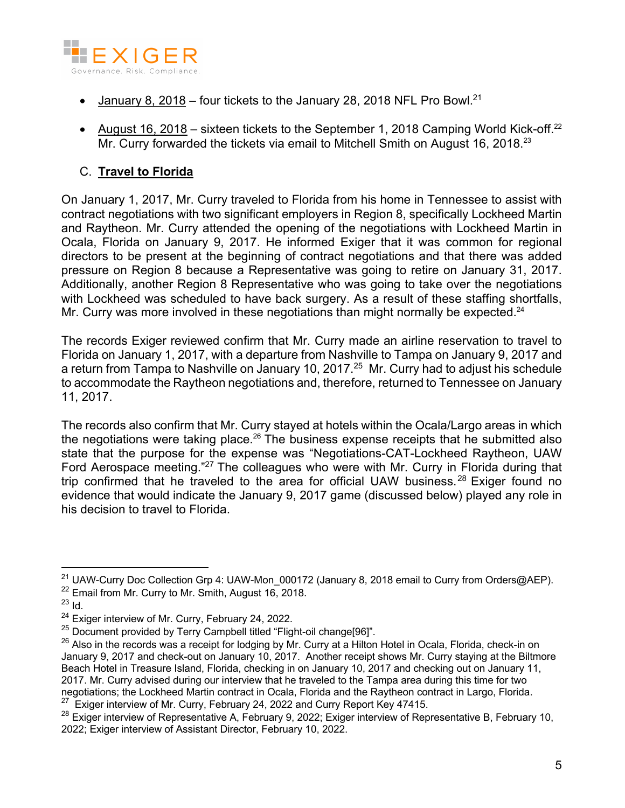

- January 8, 2018 four tickets to the January 28, 2018 NFL Pro Bowl.<sup>21</sup>
- August  $16$ ,  $2018$  sixteen tickets to the September 1, 2018 Camping World Kick-off.<sup>22</sup> Mr. Curry forwarded the tickets via email to Mitchell Smith on August 16, 2018.<sup>23</sup>

# C. **Travel to Florida**

On January 1, 2017, Mr. Curry traveled to Florida from his home in Tennessee to assist with contract negotiations with two significant employers in Region 8, specifically Lockheed Martin and Raytheon. Mr. Curry attended the opening of the negotiations with Lockheed Martin in Ocala, Florida on January 9, 2017. He informed Exiger that it was common for regional directors to be present at the beginning of contract negotiations and that there was added pressure on Region 8 because a Representative was going to retire on January 31, 2017. Additionally, another Region 8 Representative who was going to take over the negotiations with Lockheed was scheduled to have back surgery. As a result of these staffing shortfalls, Mr. Curry was more involved in these negotiations than might normally be expected.<sup>24</sup>

The records Exiger reviewed confirm that Mr. Curry made an airline reservation to travel to Florida on January 1, 2017, with a departure from Nashville to Tampa on January 9, 2017 and a return from Tampa to Nashville on January 10, 2017.25 Mr. Curry had to adjust his schedule to accommodate the Raytheon negotiations and, therefore, returned to Tennessee on January 11, 2017.

The records also confirm that Mr. Curry stayed at hotels within the Ocala/Largo areas in which the negotiations were taking place.<sup>26</sup> The business expense receipts that he submitted also state that the purpose for the expense was "Negotiations-CAT-Lockheed Raytheon, UAW Ford Aerospace meeting."<sup>27</sup> The colleagues who were with Mr. Curry in Florida during that trip confirmed that he traveled to the area for official UAW business.<sup>28</sup> Exiger found no evidence that would indicate the January 9, 2017 game (discussed below) played any role in his decision to travel to Florida.

<sup>&</sup>lt;sup>21</sup> UAW-Curry Doc Collection Grp 4: UAW-Mon 000172 (January 8, 2018 email to Curry from Orders@AEP). <sup>22</sup> Email from Mr. Curry to Mr. Smith, August 16, 2018.

<sup>23</sup> Id.

<sup>&</sup>lt;sup>24</sup> Exiger interview of Mr. Curry, February 24, 2022.

<sup>&</sup>lt;sup>25</sup> Document provided by Terry Campbell titled "Flight-oil change[96]".

<sup>&</sup>lt;sup>26</sup> Also in the records was a receipt for lodging by Mr. Curry at a Hilton Hotel in Ocala, Florida, check-in on January 9, 2017 and check-out on January 10, 2017. Another receipt shows Mr. Curry staying at the Biltmore Beach Hotel in Treasure Island, Florida, checking in on January 10, 2017 and checking out on January 11, 2017. Mr. Curry advised during our interview that he traveled to the Tampa area during this time for two negotiations; the Lockheed Martin contract in Ocala, Florida and the Raytheon contract in Largo, Florida.  $27$  Exiger interview of Mr. Curry, February 24, 2022 and Curry Report Key 47415.

<sup>&</sup>lt;sup>28</sup> Exiger interview of Representative A, February 9, 2022; Exiger interview of Representative B, February 10, 2022; Exiger interview of Assistant Director, February 10, 2022.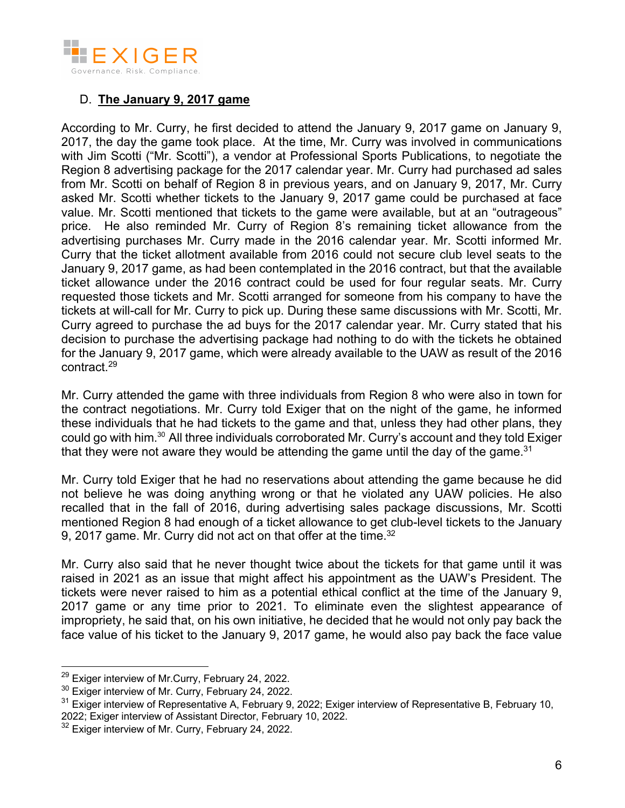

# D. **The January 9, 2017 game**

According to Mr. Curry, he first decided to attend the January 9, 2017 game on January 9, 2017, the day the game took place. At the time, Mr. Curry was involved in communications with Jim Scotti ("Mr. Scotti"), a vendor at Professional Sports Publications, to negotiate the Region 8 advertising package for the 2017 calendar year. Mr. Curry had purchased ad sales from Mr. Scotti on behalf of Region 8 in previous years, and on January 9, 2017, Mr. Curry asked Mr. Scotti whether tickets to the January 9, 2017 game could be purchased at face value. Mr. Scotti mentioned that tickets to the game were available, but at an "outrageous" price. He also reminded Mr. Curry of Region 8's remaining ticket allowance from the advertising purchases Mr. Curry made in the 2016 calendar year. Mr. Scotti informed Mr. Curry that the ticket allotment available from 2016 could not secure club level seats to the January 9, 2017 game, as had been contemplated in the 2016 contract, but that the available ticket allowance under the 2016 contract could be used for four regular seats. Mr. Curry requested those tickets and Mr. Scotti arranged for someone from his company to have the tickets at will-call for Mr. Curry to pick up. During these same discussions with Mr. Scotti, Mr. Curry agreed to purchase the ad buys for the 2017 calendar year. Mr. Curry stated that his decision to purchase the advertising package had nothing to do with the tickets he obtained for the January 9, 2017 game, which were already available to the UAW as result of the 2016 contract. 29

Mr. Curry attended the game with three individuals from Region 8 who were also in town for the contract negotiations. Mr. Curry told Exiger that on the night of the game, he informed these individuals that he had tickets to the game and that, unless they had other plans, they could go with him.30 All three individuals corroborated Mr. Curry's account and they told Exiger that they were not aware they would be attending the game until the day of the game. $31$ 

Mr. Curry told Exiger that he had no reservations about attending the game because he did not believe he was doing anything wrong or that he violated any UAW policies. He also recalled that in the fall of 2016, during advertising sales package discussions, Mr. Scotti mentioned Region 8 had enough of a ticket allowance to get club-level tickets to the January 9, 2017 game. Mr. Curry did not act on that offer at the time.<sup>32</sup>

Mr. Curry also said that he never thought twice about the tickets for that game until it was raised in 2021 as an issue that might affect his appointment as the UAW's President. The tickets were never raised to him as a potential ethical conflict at the time of the January 9, 2017 game or any time prior to 2021. To eliminate even the slightest appearance of impropriety, he said that, on his own initiative, he decided that he would not only pay back the face value of his ticket to the January 9, 2017 game, he would also pay back the face value

 $29$  Exiger interview of Mr. Curry, February 24, 2022.

<sup>&</sup>lt;sup>30</sup> Exiger interview of Mr. Curry, February 24, 2022.

 $31$  Exiger interview of Representative A, February 9, 2022; Exiger interview of Representative B, February 10, 2022; Exiger interview of Assistant Director, February 10, 2022.

<sup>&</sup>lt;sup>32</sup> Exiger interview of Mr. Curry, February 24, 2022.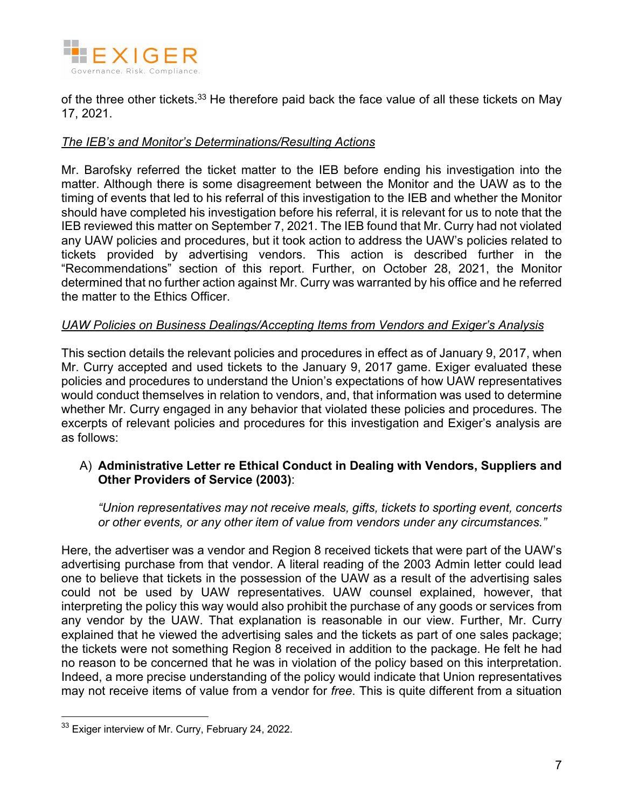

of the three other tickets.<sup>33</sup> He therefore paid back the face value of all these tickets on May 17, 2021.

### *The IEB's and Monitor's Determinations/Resulting Actions*

Mr. Barofsky referred the ticket matter to the IEB before ending his investigation into the matter. Although there is some disagreement between the Monitor and the UAW as to the timing of events that led to his referral of this investigation to the IEB and whether the Monitor should have completed his investigation before his referral, it is relevant for us to note that the IEB reviewed this matter on September 7, 2021. The IEB found that Mr. Curry had not violated any UAW policies and procedures, but it took action to address the UAW's policies related to tickets provided by advertising vendors. This action is described further in the "Recommendations" section of this report. Further, on October 28, 2021, the Monitor determined that no further action against Mr. Curry was warranted by his office and he referred the matter to the Ethics Officer.

### *UAW Policies on Business Dealings/Accepting Items from Vendors and Exiger's Analysis*

This section details the relevant policies and procedures in effect as of January 9, 2017, when Mr. Curry accepted and used tickets to the January 9, 2017 game. Exiger evaluated these policies and procedures to understand the Union's expectations of how UAW representatives would conduct themselves in relation to vendors, and, that information was used to determine whether Mr. Curry engaged in any behavior that violated these policies and procedures. The excerpts of relevant policies and procedures for this investigation and Exiger's analysis are as follows:

### A) **Administrative Letter re Ethical Conduct in Dealing with Vendors, Suppliers and Other Providers of Service (2003)**:

*"Union representatives may not receive meals, gifts, tickets to sporting event, concerts or other events, or any other item of value from vendors under any circumstances."*

Here, the advertiser was a vendor and Region 8 received tickets that were part of the UAW's advertising purchase from that vendor. A literal reading of the 2003 Admin letter could lead one to believe that tickets in the possession of the UAW as a result of the advertising sales could not be used by UAW representatives. UAW counsel explained, however, that interpreting the policy this way would also prohibit the purchase of any goods or services from any vendor by the UAW. That explanation is reasonable in our view. Further, Mr. Curry explained that he viewed the advertising sales and the tickets as part of one sales package; the tickets were not something Region 8 received in addition to the package. He felt he had no reason to be concerned that he was in violation of the policy based on this interpretation. Indeed, a more precise understanding of the policy would indicate that Union representatives may not receive items of value from a vendor for *free*. This is quite different from a situation

<sup>&</sup>lt;sup>33</sup> Exiger interview of Mr. Curry, February 24, 2022.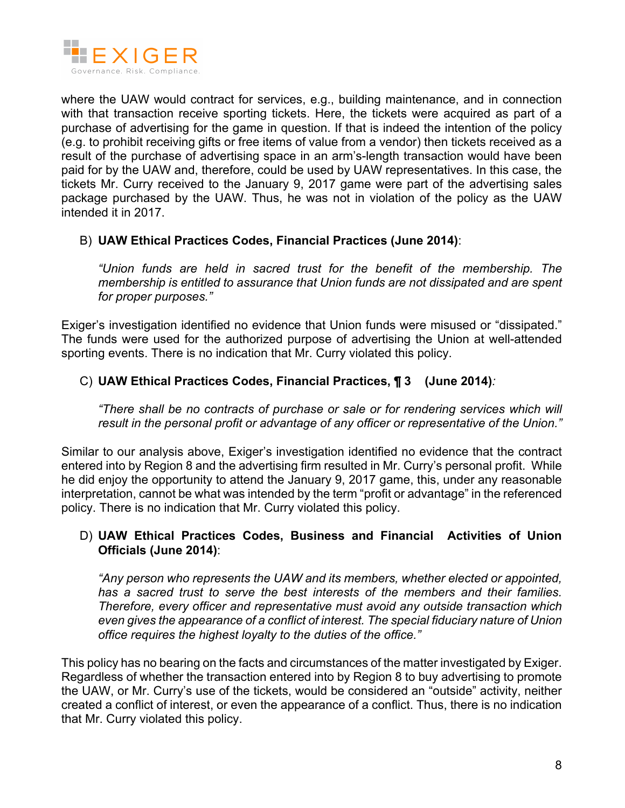

where the UAW would contract for services, e.g., building maintenance, and in connection with that transaction receive sporting tickets. Here, the tickets were acquired as part of a purchase of advertising for the game in question. If that is indeed the intention of the policy (e.g. to prohibit receiving gifts or free items of value from a vendor) then tickets received as a result of the purchase of advertising space in an arm's-length transaction would have been paid for by the UAW and, therefore, could be used by UAW representatives. In this case, the tickets Mr. Curry received to the January 9, 2017 game were part of the advertising sales package purchased by the UAW. Thus, he was not in violation of the policy as the UAW intended it in 2017.

### B) **UAW Ethical Practices Codes, Financial Practices (June 2014)**:

*"Union funds are held in sacred trust for the benefit of the membership. The membership is entitled to assurance that Union funds are not dissipated and are spent for proper purposes."*

Exiger's investigation identified no evidence that Union funds were misused or "dissipated." The funds were used for the authorized purpose of advertising the Union at well-attended sporting events. There is no indication that Mr. Curry violated this policy.

### C) **UAW Ethical Practices Codes, Financial Practices, ¶ 3 (June 2014)***:*

*"There shall be no contracts of purchase or sale or for rendering services which will result in the personal profit or advantage of any officer or representative of the Union."*

Similar to our analysis above, Exiger's investigation identified no evidence that the contract entered into by Region 8 and the advertising firm resulted in Mr. Curry's personal profit. While he did enjoy the opportunity to attend the January 9, 2017 game, this, under any reasonable interpretation, cannot be what was intended by the term "profit or advantage" in the referenced policy. There is no indication that Mr. Curry violated this policy.

#### D) **UAW Ethical Practices Codes, Business and Financial Activities of Union Officials (June 2014)**:

*"Any person who represents the UAW and its members, whether elected or appointed, has a sacred trust to serve the best interests of the members and their families. Therefore, every officer and representative must avoid any outside transaction which even gives the appearance of a conflict of interest. The special fiduciary nature of Union office requires the highest loyalty to the duties of the office."*

This policy has no bearing on the facts and circumstances of the matter investigated by Exiger. Regardless of whether the transaction entered into by Region 8 to buy advertising to promote the UAW, or Mr. Curry's use of the tickets, would be considered an "outside" activity, neither created a conflict of interest, or even the appearance of a conflict. Thus, there is no indication that Mr. Curry violated this policy.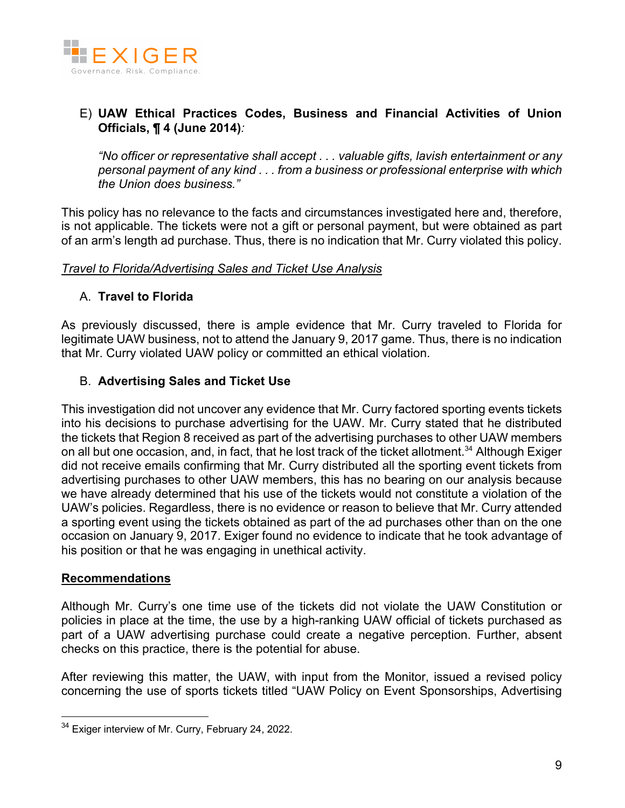

# E) **UAW Ethical Practices Codes, Business and Financial Activities of Union Officials, ¶ 4 (June 2014)***:*

*"No officer or representative shall accept . . . valuable gifts, lavish entertainment or any personal payment of any kind . . . from a business or professional enterprise with which the Union does business."*

This policy has no relevance to the facts and circumstances investigated here and, therefore, is not applicable. The tickets were not a gift or personal payment, but were obtained as part of an arm's length ad purchase. Thus, there is no indication that Mr. Curry violated this policy.

#### *Travel to Florida/Advertising Sales and Ticket Use Analysis*

### A. **Travel to Florida**

As previously discussed, there is ample evidence that Mr. Curry traveled to Florida for legitimate UAW business, not to attend the January 9, 2017 game. Thus, there is no indication that Mr. Curry violated UAW policy or committed an ethical violation.

### B. **Advertising Sales and Ticket Use**

This investigation did not uncover any evidence that Mr. Curry factored sporting events tickets into his decisions to purchase advertising for the UAW. Mr. Curry stated that he distributed the tickets that Region 8 received as part of the advertising purchases to other UAW members on all but one occasion, and, in fact, that he lost track of the ticket allotment.<sup>34</sup> Although Exiger did not receive emails confirming that Mr. Curry distributed all the sporting event tickets from advertising purchases to other UAW members, this has no bearing on our analysis because we have already determined that his use of the tickets would not constitute a violation of the UAW's policies. Regardless, there is no evidence or reason to believe that Mr. Curry attended a sporting event using the tickets obtained as part of the ad purchases other than on the one occasion on January 9, 2017. Exiger found no evidence to indicate that he took advantage of his position or that he was engaging in unethical activity.

### **Recommendations**

Although Mr. Curry's one time use of the tickets did not violate the UAW Constitution or policies in place at the time, the use by a high-ranking UAW official of tickets purchased as part of a UAW advertising purchase could create a negative perception. Further, absent checks on this practice, there is the potential for abuse.

After reviewing this matter, the UAW, with input from the Monitor, issued a revised policy concerning the use of sports tickets titled "UAW Policy on Event Sponsorships, Advertising

<sup>&</sup>lt;sup>34</sup> Exiger interview of Mr. Curry, February 24, 2022.